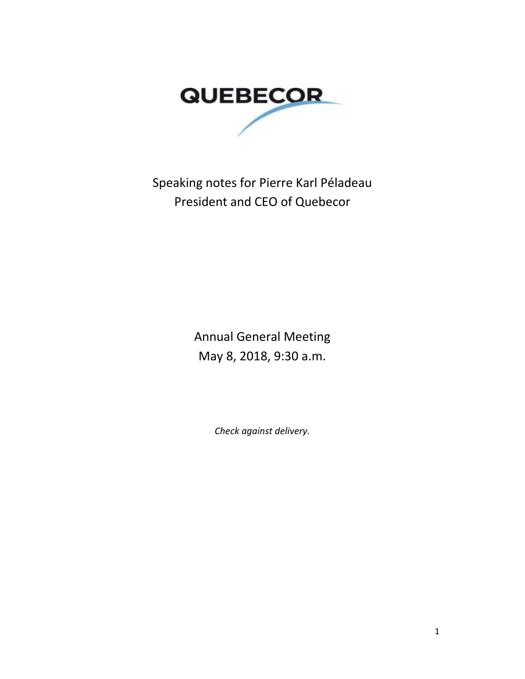

Speaking notes for Pierre Karl Péladeau President and CEO of Quebecor

> Annual General Meeting May 8, 2018, 9:30 a.m.

> > *Check against delivery.*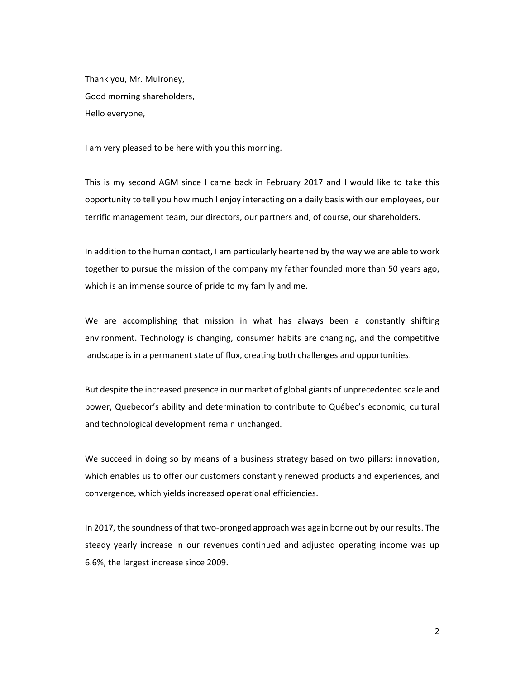Thank you, Mr. Mulroney, Good morning shareholders, Hello everyone,

I am very pleased to be here with you this morning.

This is my second AGM since I came back in February 2017 and I would like to take this opportunity to tell you how much I enjoy interacting on a daily basis with our employees, our terrific management team, our directors, our partners and, of course, our shareholders.

In addition to the human contact, I am particularly heartened by the way we are able to work together to pursue the mission of the company my father founded more than 50 years ago, which is an immense source of pride to my family and me.

We are accomplishing that mission in what has always been a constantly shifting environment. Technology is changing, consumer habits are changing, and the competitive landscape is in a permanent state of flux, creating both challenges and opportunities.

But despite the increased presence in our market of global giants of unprecedented scale and power, Quebecor's ability and determination to contribute to Québec's economic, cultural and technological development remain unchanged.

We succeed in doing so by means of a business strategy based on two pillars: innovation, which enables us to offer our customers constantly renewed products and experiences, and convergence, which yields increased operational efficiencies.

In 2017, the soundness of that two-pronged approach was again borne out by our results. The steady yearly increase in our revenues continued and adjusted operating income was up 6.6%, the largest increase since 2009.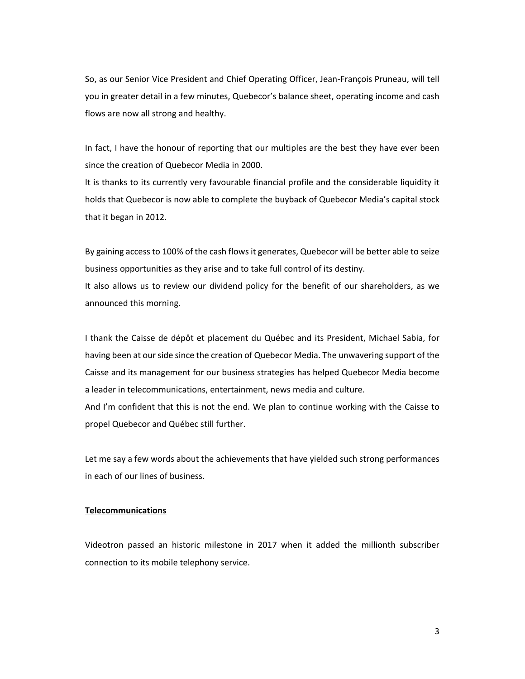So, as our Senior Vice President and Chief Operating Officer, Jean-François Pruneau, will tell you in greater detail in a few minutes, Quebecor's balance sheet, operating income and cash flows are now all strong and healthy.

In fact, I have the honour of reporting that our multiples are the best they have ever been since the creation of Quebecor Media in 2000.

It is thanks to its currently very favourable financial profile and the considerable liquidity it holds that Quebecor is now able to complete the buyback of Quebecor Media's capital stock that it began in 2012.

By gaining access to 100% of the cash flows it generates, Quebecor will be better able to seize business opportunities as they arise and to take full control of its destiny. It also allows us to review our dividend policy for the benefit of our shareholders, as we announced this morning.

I thank the Caisse de dépôt et placement du Québec and its President, Michael Sabia, for having been at our side since the creation of Quebecor Media. The unwavering support of the Caisse and its management for our business strategies has helped Quebecor Media become a leader in telecommunications, entertainment, news media and culture. And I'm confident that this is not the end. We plan to continue working with the Caisse to

propel Quebecor and Québec still further.

Let me say a few words about the achievements that have yielded such strong performances in each of our lines of business.

#### **Telecommunications**

Videotron passed an historic milestone in 2017 when it added the millionth subscriber connection to its mobile telephony service.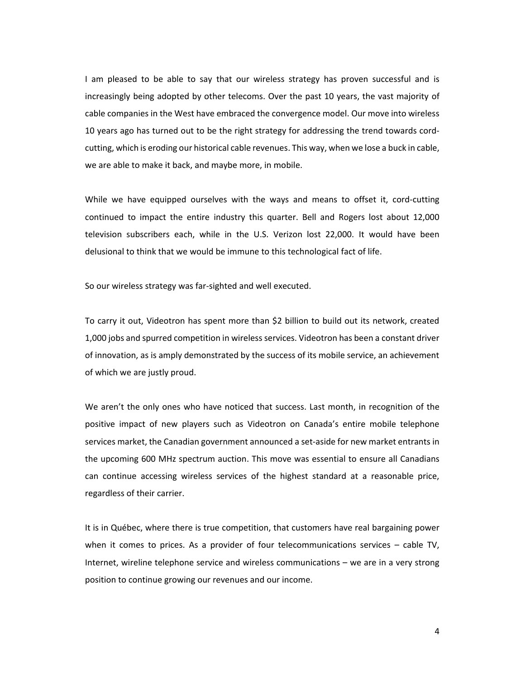I am pleased to be able to say that our wireless strategy has proven successful and is increasingly being adopted by other telecoms. Over the past 10 years, the vast majority of cable companies in the West have embraced the convergence model. Our move into wireless 10 years ago has turned out to be the right strategy for addressing the trend towards cordcutting, which is eroding our historical cable revenues. This way, when we lose a buck in cable, we are able to make it back, and maybe more, in mobile.

While we have equipped ourselves with the ways and means to offset it, cord-cutting continued to impact the entire industry this quarter. Bell and Rogers lost about 12,000 television subscribers each, while in the U.S. Verizon lost 22,000. It would have been delusional to think that we would be immune to this technological fact of life.

So our wireless strategy was far-sighted and well executed.

To carry it out, Videotron has spent more than \$2 billion to build out its network, created 1,000 jobs and spurred competition in wireless services. Videotron has been a constant driver of innovation, as is amply demonstrated by the success of its mobile service, an achievement of which we are justly proud.

We aren't the only ones who have noticed that success. Last month, in recognition of the positive impact of new players such as Videotron on Canada's entire mobile telephone services market, the Canadian government announced a set-aside for new market entrants in the upcoming 600 MHz spectrum auction. This move was essential to ensure all Canadians can continue accessing wireless services of the highest standard at a reasonable price, regardless of their carrier.

It is in Québec, where there is true competition, that customers have real bargaining power when it comes to prices. As a provider of four telecommunications services – cable TV, Internet, wireline telephone service and wireless communications – we are in a very strong position to continue growing our revenues and our income.

4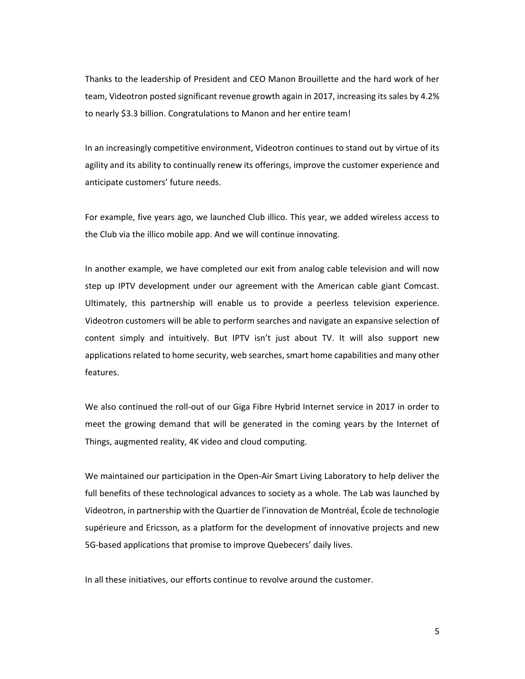Thanks to the leadership of President and CEO Manon Brouillette and the hard work of her team, Videotron posted significant revenue growth again in 2017, increasing its sales by 4.2% to nearly \$3.3 billion. Congratulations to Manon and her entire team!

In an increasingly competitive environment, Videotron continues to stand out by virtue of its agility and its ability to continually renew its offerings, improve the customer experience and anticipate customers' future needs.

For example, five years ago, we launched Club illico. This year, we added wireless access to the Club via the illico mobile app. And we will continue innovating.

In another example, we have completed our exit from analog cable television and will now step up IPTV development under our agreement with the American cable giant Comcast. Ultimately, this partnership will enable us to provide a peerless television experience. Videotron customers will be able to perform searches and navigate an expansive selection of content simply and intuitively. But IPTV isn't just about TV. It will also support new applications related to home security, web searches, smart home capabilities and many other features.

We also continued the roll-out of our Giga Fibre Hybrid Internet service in 2017 in order to meet the growing demand that will be generated in the coming years by the Internet of Things, augmented reality, 4K video and cloud computing.

We maintained our participation in the Open-Air Smart Living Laboratory to help deliver the full benefits of these technological advances to society as a whole. The Lab was launched by Videotron, in partnership with the Quartier de l'innovation de Montréal, École de technologie supérieure and Ericsson, as a platform for the development of innovative projects and new 5G-based applications that promise to improve Quebecers' daily lives.

In all these initiatives, our efforts continue to revolve around the customer.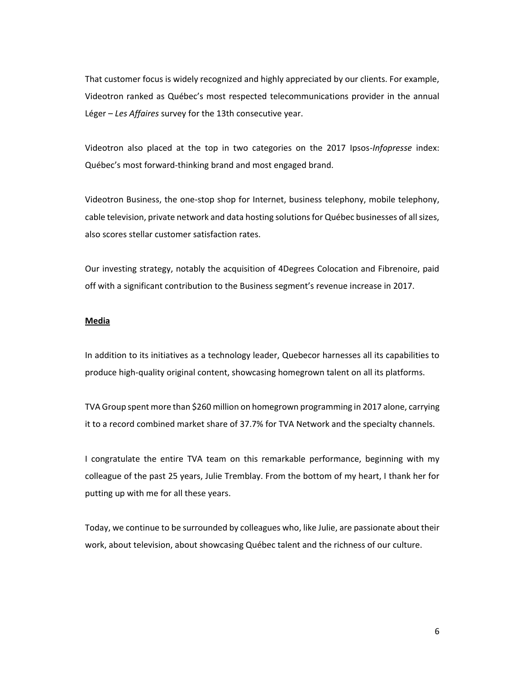That customer focus is widely recognized and highly appreciated by our clients. For example, Videotron ranked as Québec's most respected telecommunications provider in the annual Léger – *Les Affaires* survey for the 13th consecutive year.

Videotron also placed at the top in two categories on the 2017 Ipsos-*Infopresse* index: Québec's most forward-thinking brand and most engaged brand.

Videotron Business, the one-stop shop for Internet, business telephony, mobile telephony, cable television, private network and data hosting solutions for Québec businesses of all sizes, also scores stellar customer satisfaction rates.

Our investing strategy, notably the acquisition of 4Degrees Colocation and Fibrenoire, paid off with a significant contribution to the Business segment's revenue increase in 2017.

# **Media**

In addition to its initiatives as a technology leader, Quebecor harnesses all its capabilities to produce high-quality original content, showcasing homegrown talent on all its platforms.

TVA Group spent more than \$260 million on homegrown programming in 2017 alone, carrying it to a record combined market share of 37.7% for TVA Network and the specialty channels.

I congratulate the entire TVA team on this remarkable performance, beginning with my colleague of the past 25 years, Julie Tremblay. From the bottom of my heart, I thank her for putting up with me for all these years.

Today, we continue to be surrounded by colleagues who, like Julie, are passionate about their work, about television, about showcasing Québec talent and the richness of our culture.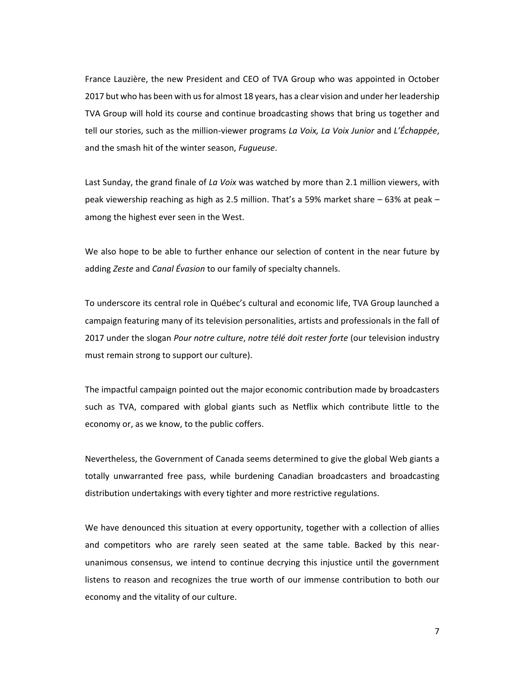France Lauzière, the new President and CEO of TVA Group who was appointed in October 2017 but who has been with us for almost 18 years, has a clear vision and under her leadership TVA Group will hold its course and continue broadcasting shows that bring us together and tell our stories, such as the million-viewer programs *La Voix, La Voix Junior* and *L'Échappée*, and the smash hit of the winter season, *Fugueuse*.

Last Sunday, the grand finale of *La Voix* was watched by more than 2.1 million viewers, with peak viewership reaching as high as 2.5 million. That's a 59% market share – 63% at peak – among the highest ever seen in the West.

We also hope to be able to further enhance our selection of content in the near future by adding *Zeste* and *Canal Évasion* to our family of specialty channels.

To underscore its central role in Québec's cultural and economic life, TVA Group launched a campaign featuring many of its television personalities, artists and professionals in the fall of 2017 under the slogan *Pour notre culture*, *notre télé doit rester forte* (our television industry must remain strong to support our culture).

The impactful campaign pointed out the major economic contribution made by broadcasters such as TVA, compared with global giants such as Netflix which contribute little to the economy or, as we know, to the public coffers.

Nevertheless, the Government of Canada seems determined to give the global Web giants a totally unwarranted free pass, while burdening Canadian broadcasters and broadcasting distribution undertakings with every tighter and more restrictive regulations.

We have denounced this situation at every opportunity, together with a collection of allies and competitors who are rarely seen seated at the same table. Backed by this nearunanimous consensus, we intend to continue decrying this injustice until the government listens to reason and recognizes the true worth of our immense contribution to both our economy and the vitality of our culture.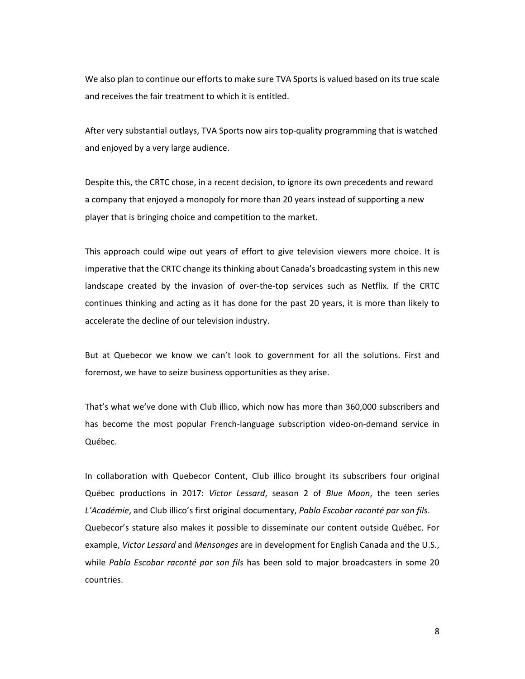We also plan to continue our efforts to make sure TVA Sports is valued based on its true scale and receives the fair treatment to which it is entitled.

After very substantial outlays, TVA Sports now airs top-quality programming that is watched and enjoyed by a very large audience.

Despite this, the CRTC chose, in a recent decision, to ignore its own precedents and reward a company that enjoyed a monopoly for more than 20 years instead of supporting a new player that is bringing choice and competition to the market.

This approach could wipe out years of effort to give television viewers more choice. It is imperative that the CRTC change its thinking about Canada's broadcasting system in this new landscape created by the invasion of over-the-top services such as Netflix. If the CRTC continues thinking and acting as it has done for the past 20 years, it is more than likely to accelerate the decline of our television industry.

But at Quebecor we know we can't look to government for all the solutions. First and foremost, we have to seize business opportunities as they arise.

That's what we've done with Club illico, which now has more than 360,000 subscribers and has become the most popular French-language subscription video-on-demand service in Québec.

In collaboration with Quebecor Content, Club illico brought its subscribers four original Québec productions in 2017: *Victor Lessard*, season 2 of *Blue Moon*, the teen series *L'Académie*, and Club illico's first original documentary, *Pablo Escobar raconté par son fils*. Quebecor's stature also makes it possible to disseminate our content outside Québec. For example, *Victor Lessard* and *Mensonges* are in development for English Canada and the U.S., while *Pablo Escobar raconté par son fils* has been sold to major broadcasters in some 20 countries.

8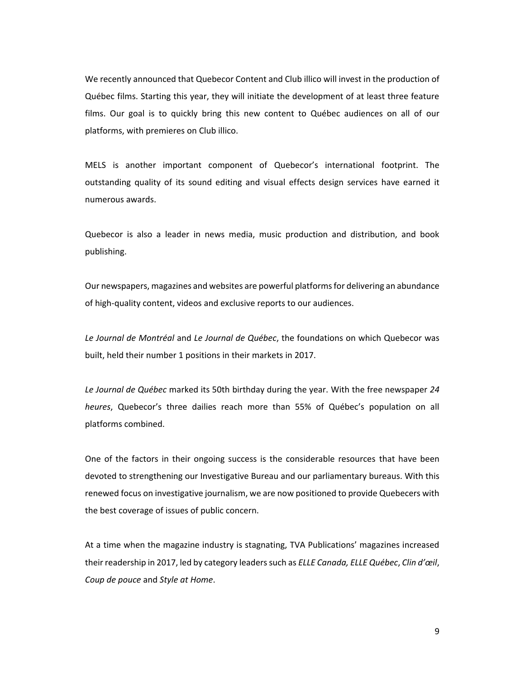We recently announced that Quebecor Content and Club illico will invest in the production of Québec films. Starting this year, they will initiate the development of at least three feature films. Our goal is to quickly bring this new content to Québec audiences on all of our platforms, with premieres on Club illico.

MELS is another important component of Quebecor's international footprint. The outstanding quality of its sound editing and visual effects design services have earned it numerous awards.

Quebecor is also a leader in news media, music production and distribution, and book publishing.

Our newspapers, magazines and websites are powerful platforms for delivering an abundance of high-quality content, videos and exclusive reports to our audiences.

*Le Journal de Montréal* and *Le Journal de Québec*, the foundations on which Quebecor was built, held their number 1 positions in their markets in 2017.

*Le Journal de Québec* marked its 50th birthday during the year. With the free newspaper *24 heures*, Quebecor's three dailies reach more than 55% of Québec's population on all platforms combined.

One of the factors in their ongoing success is the considerable resources that have been devoted to strengthening our Investigative Bureau and our parliamentary bureaus. With this renewed focus on investigative journalism, we are now positioned to provide Quebecers with the best coverage of issues of public concern.

At a time when the magazine industry is stagnating, TVA Publications' magazines increased their readership in 2017, led by category leaders such as *ELLE Canada, ELLE Québec*, *Clin d'œil*, *Coup de pouce* and *Style at Home*.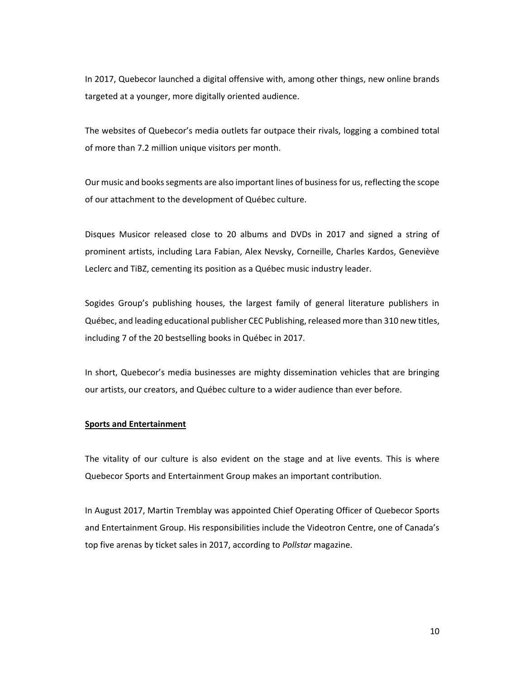In 2017, Quebecor launched a digital offensive with, among other things, new online brands targeted at a younger, more digitally oriented audience.

The websites of Quebecor's media outlets far outpace their rivals, logging a combined total of more than 7.2 million unique visitors per month.

Our music and bookssegments are also important lines of business for us, reflecting the scope of our attachment to the development of Québec culture.

Disques Musicor released close to 20 albums and DVDs in 2017 and signed a string of prominent artists, including Lara Fabian, Alex Nevsky, Corneille, Charles Kardos, Geneviève Leclerc and TiBZ, cementing its position as a Québec music industry leader.

Sogides Group's publishing houses, the largest family of general literature publishers in Québec, and leading educational publisher CEC Publishing, released more than 310 new titles, including 7 of the 20 bestselling books in Québec in 2017.

In short, Quebecor's media businesses are mighty dissemination vehicles that are bringing our artists, our creators, and Québec culture to a wider audience than ever before.

## **Sports and Entertainment**

The vitality of our culture is also evident on the stage and at live events. This is where Quebecor Sports and Entertainment Group makes an important contribution.

In August 2017, Martin Tremblay was appointed Chief Operating Officer of Quebecor Sports and Entertainment Group. His responsibilities include the Videotron Centre, one of Canada's top five arenas by ticket sales in 2017, according to *Pollstar* magazine.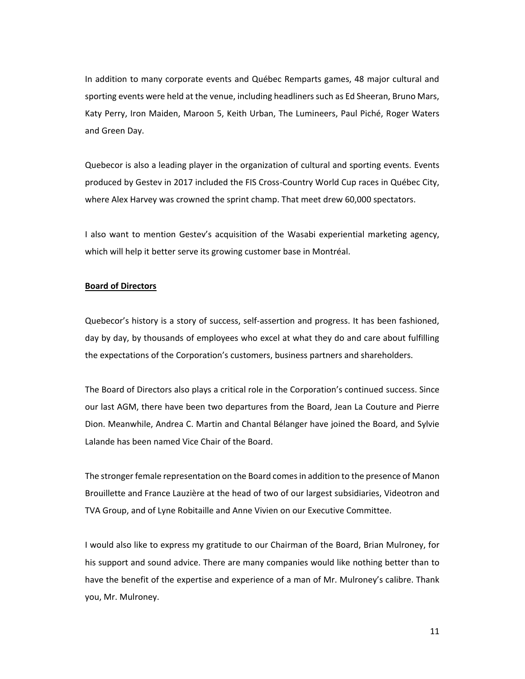In addition to many corporate events and Québec Remparts games, 48 major cultural and sporting events were held at the venue, including headliners such as Ed Sheeran, Bruno Mars, Katy Perry, Iron Maiden, Maroon 5, Keith Urban, The Lumineers, Paul Piché, Roger Waters and Green Day.

Quebecor is also a leading player in the organization of cultural and sporting events. Events produced by Gestev in 2017 included the FIS Cross-Country World Cup races in Québec City, where Alex Harvey was crowned the sprint champ. That meet drew 60,000 spectators.

I also want to mention Gestev's acquisition of the Wasabi experiential marketing agency, which will help it better serve its growing customer base in Montréal.

## **Board of Directors**

Quebecor's history is a story of success, self-assertion and progress. It has been fashioned, day by day, by thousands of employees who excel at what they do and care about fulfilling the expectations of the Corporation's customers, business partners and shareholders.

The Board of Directors also plays a critical role in the Corporation's continued success. Since our last AGM, there have been two departures from the Board, Jean La Couture and Pierre Dion. Meanwhile, Andrea C. Martin and Chantal Bélanger have joined the Board, and Sylvie Lalande has been named Vice Chair of the Board.

The stronger female representation on the Board comes in addition to the presence of Manon Brouillette and France Lauzière at the head of two of our largest subsidiaries, Videotron and TVA Group, and of Lyne Robitaille and Anne Vivien on our Executive Committee.

I would also like to express my gratitude to our Chairman of the Board, Brian Mulroney, for his support and sound advice. There are many companies would like nothing better than to have the benefit of the expertise and experience of a man of Mr. Mulroney's calibre. Thank you, Mr. Mulroney.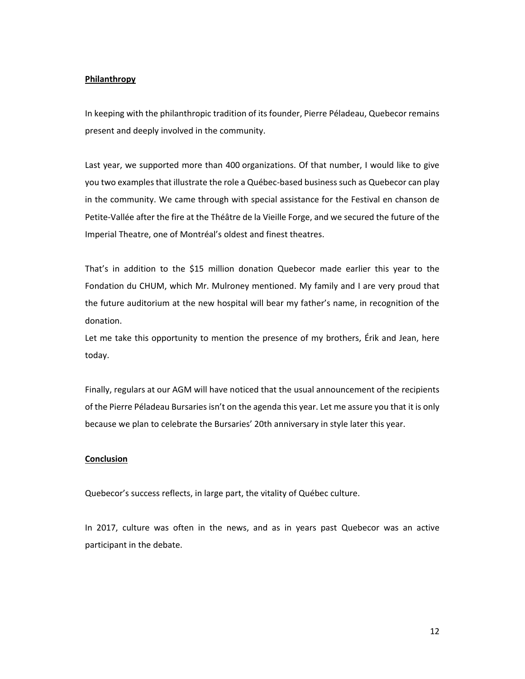# **Philanthropy**

In keeping with the philanthropic tradition of its founder, Pierre Péladeau, Quebecor remains present and deeply involved in the community.

Last year, we supported more than 400 organizations. Of that number, I would like to give you two examples that illustrate the role a Québec-based business such as Quebecor can play in the community. We came through with special assistance for the Festival en chanson de Petite-Vallée after the fire at the Théâtre de la Vieille Forge, and we secured the future of the Imperial Theatre, one of Montréal's oldest and finest theatres.

That's in addition to the \$15 million donation Quebecor made earlier this year to the Fondation du CHUM, which Mr. Mulroney mentioned. My family and I are very proud that the future auditorium at the new hospital will bear my father's name, in recognition of the donation.

Let me take this opportunity to mention the presence of my brothers, Érik and Jean, here today.

Finally, regulars at our AGM will have noticed that the usual announcement of the recipients of the Pierre Péladeau Bursaries isn't on the agenda this year. Let me assure you that it is only because we plan to celebrate the Bursaries' 20th anniversary in style later this year.

# **Conclusion**

Quebecor's success reflects, in large part, the vitality of Québec culture.

In 2017, culture was often in the news, and as in years past Quebecor was an active participant in the debate.